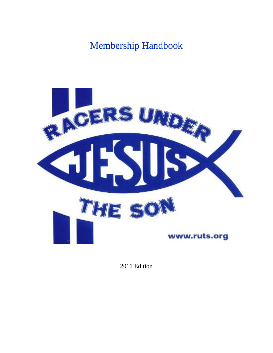# Membership Handbook



2011 Edition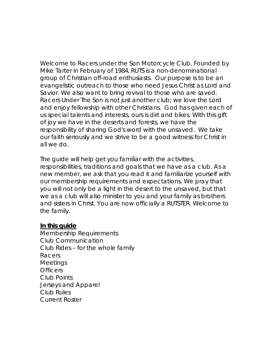Welcome to Racers under the Son Motorcycle Club. Founded by Mike Tarter in February of 1984, RUTS is a non-denominational group of Christian off-road enthusiasts. Our purpose is to be an evangelistic outreach to those who need Jesus Christ as Lord and Savior. We also want to bring revival to those who are saved. *Racers Under The Son* is not just another club; we love the Lord and enjoy fellowship with other Christians. God has given each of us special talents and interests, ours is dirt and bikes. With this gift of joy we have in the deserts and forests, we have the responsibility of sharing God's word with the unsaved. We take our faith seriously and we strive to be a good witness for Christ in all we do.

The guide will help get you familiar with the activities, responsibilities, traditions and goals that we have as a club. As a new member, we ask that you read it and familiarize yourself with our membership requirements and expectations. We pray that you will not only be a light in the desert to the unsaved, but that we as a club will also minister to you and your family as brothers and sisters in Christ. You are now officially a RUTSTER. Welcome to the family.

#### **In this guide**

Membership Requirements Club Communication Club Rides – for the whole family Racers **Meetings Officers** Club Points Jerseys and Apparel Club Rules Current Roster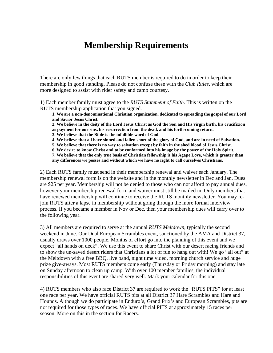#### **Membership Requirements**

There are only few things that each RUTS member is required to do in order to keep their membership in good standing. Please do not confuse these with the *Club Rules*, which are more designed to assist with rider safety and camp courtesy.

1) Each member family must agree to the *RUTS Statement of Faith*. This is written on the RUTS membership application that you signed.

**1. We are a non-denominational Christian organization, dedicated to spreading the gospel of our Lord and Savior Jesus Christ.** 

**2. We believe in the deity of the Lord Jesus Christ as God the Son and His virgin birth, his crucifixion as payment for our sins, his resurrection from the dead, and his forth-coming return.** 

**3. We believe that the Bible is the infallible word of God.** 

**4. We believe that all have sinned and fallen short of the glory of God, and are in need of Salvation.** 

**5. We believe that there is no way to salvation except by faith in the shed blood of Jesus Christ.** 

**6. We desire to know Christ and to be conformed into his image by the power of the Holy Spirit.** 

**7. We believe that the only true basis of Christian fellowship is his Agape Love, which is greater than** 

**any differences we posses and without which we have no right to call ourselves Christians.** 

2) Each RUTS family must send in their membership renewal and waiver each January. The membership renewal form is on the website and in the monthly newsletter in Dec and Jan. Dues are \$25 per year. Membership will not be denied to those who can not afford to pay annual dues, however your membership renewal form and waiver must still be mailed in. Only members that have renewed membership will continue to receive the RUTS monthly newsletter. You may rejoin RUTS after a lapse in membership without going through the more formal interview process. If you became a member in Nov or Dec, then your membership dues will carry over to the following year.

3) All members are required to serve at the annual *RUTS Meltdown*, typically the second weekend in June. Our Dual European Scrambles event, sanctioned by the AMA and District 37, usually draws over 1000 people. Months of effort go into the planning of this event and we expect "all hands on deck". We use this event to share Christ with our desert racing friends and to show the un-saved desert riders that Christians a lot of fun to hang out with! We go "all out" at the Meltdown with a free BBQ, live band, night time video, morning church service and huge prize give-aways. Most RUTS members come early (Thursday or Friday morning) and stay late on Sunday afternoon to clean up camp. With over 100 member families, the individual responsibilities of this event are shared very well. Mark your calendar for this one.

4) RUTS members who also race District 37 are required to work the "RUTS PITS" for at least one race per year. We have official RUTS pits at all District 37 Hare Scrambles and Hare and Hounds. Although we do participate in Enduro's, Grand Prix's and European Scrambles, pits are not required for those types of races. We have official PITS at approximately 15 races per season. More on this in the section for Racers.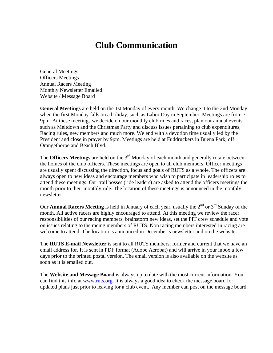## **Club Communication**

General Meetings Officers Meetings Annual Racers Meeting Monthly Newsletter Emailed Website / Message Board

**General Meetings** are held on the 1st Monday of every month. We change it to the 2nd Monday when the first Monday falls on a holiday, such as Labor Day in September. Meetings are from 7- 9pm. At these meetings we decide on our monthly club rides and races, plan our annual events such as Meltdown and the Christmas Party and discuss issues pertaining to club expenditures, Racing rules, new members and much more. We end with a devotion time usually led by the President and close in prayer by 9pm. Meetings are held at Fuddruckers in Buena Park, off Orangethorpe and Beach Blvd.

The **Officers Meetings** are held on the 3<sup>rd</sup> Monday of each month and generally rotate between the homes of the club officers. These meetings are open to all club members. Officer meetings are usually spent discussing the direction, focus and goals of RUTS as a whole. The officers are always open to new ideas and encourage members who wish to participate in leadership roles to attend these meetings. Our trail bosses (ride leaders) are asked to attend the officers meetings the month prior to their monthly ride. The location of these meetings is announced in the monthly newsletter.

Our **Annual Racers Meeting** is held in January of each year, usually the 2<sup>nd</sup> or 3<sup>rd</sup> Sunday of the month. All active racers are highly encouraged to attend. At this meeting we review the racer responsibilities of our racing members, brainstorm new ideas, set the PIT crew schedule and vote on issues relating to the racing members of RUTS. Non racing members interested in racing are welcome to attend. The location is announced in December's newsletter and on the website.

The **RUTS E-mail Newsletter** is sent to all RUTS members, former and current that we have an email address for. It is sent in PDF format (Adobe Acrobat) and will arrive in your inbox a few days prior to the printed postal version. The email version is also available on the website as soon as it is emailed out.

The **Website and Message Board** is always up to date with the most current information. You can find this info at www.ruts.org. It is always a good idea to check the message board for updated plans just prior to leaving for a club event. Any member can post on the message board.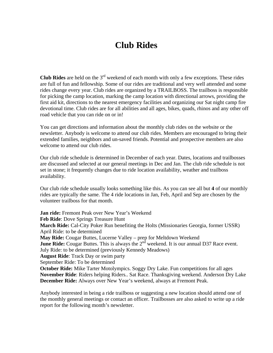#### **Club Rides**

**Club Rides** are held on the 3rd weekend of each month with only a few exceptions. These rides are full of fun and fellowship. Some of our rides are traditional and very well attended and some rides change every year. Club rides are organized by a TRAILBOSS. The trailboss is responsible for picking the camp location, marking the camp location with directional arrows, providing the first aid kit, directions to the nearest emergency facilities and organizing our Sat night camp fire devotional time. Club rides are for all abilities and all ages, bikes, quads, rhinos and any other off road vehicle that you can ride on or in!

You can get directions and information about the monthly club rides on the website or the newsletter. Anybody is welcome to attend our club rides. Members are encouraged to bring their extended families, neighbors and un-saved friends. Potential and prospective members are also welcome to attend our club rides.

Our club ride schedule is determined in December of each year. Dates, locations and trailbosses are discussed and selected at our general meetings in Dec and Jan. The club ride schedule is not set in stone; it frequently changes due to ride location availability, weather and trailboss availability.

Our club ride schedule usually looks something like this. As you can see all but **4** of our monthly rides are typically the same. The 4 ride locations in Jan, Feb, April and Sep are chosen by the volunteer trailboss for that month.

**Jan ride:** Fremont Peak over New Year's Weekend **Feb Ride**: Dove Springs Treasure Hunt **March Ride:** Cal-City Poker Run benefiting the Holts (Missionaries Georgia, former USSR) April Ride: to be determined **May Ride:** Cougar Buttes, Lucerne Valley – prep for Meltdown Weekend **June Ride:** Cougar Buttes. This is always the 2<sup>nd</sup> weekend. It is our annual D37 Race event. July Ride: to be determined (previously Kennedy Meadows) **August Ride**: Track Day or swim party September Ride: To be determined **October Ride:** Mike Tarter Motolympics. Soggy Dry Lake. Fun competitions for all ages **November Ride**: Riders helping Riders.. Sat Race. Thanksgiving weekend. Anderson Dry Lake **December Ride:** Always over New Year's weekend, always at Fremont Peak.

Anybody interested in being a ride trailboss or suggesting a new location should attend one of the monthly general meetings or contact an officer. Trailbosses are also asked to write up a ride report for the following month's newsletter.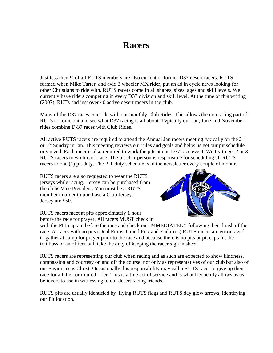#### **Racers**

Just less then ½ of all RUTS members are also current or former D37 desert racers. RUTS formed when Mike Tarter, and avid 3 wheeler MX rider, put an ad in cycle news looking for other Christians to ride with. RUTS racers come in all shapes, sizes, ages and skill levels. We currently have riders competing in every D37 division and skill level. At the time of this writing (2007), RUTs had just over 40 active desert racers in the club.

Many of the D37 races coincide with our monthly Club Rides. This allows the non racing part of RUTs to come out and see what D37 racing is all about. Typically our Jan, June and November rides combine D-37 races with Club Rides.

All active RUTS racers are required to attend the Annual Jan racers meeting typically on the  $2<sup>nd</sup>$ or  $3<sup>rd</sup>$  Sunday in Jan. This meeting reviews our rules and goals and helps us get our pit schedule organized. Each racer is also required to work the pits at one D37 race event. We try to get 2 or 3 RUTS racers to work each race. The pit chairperson is responsible for scheduling all RUTS racers to one (1) pit duty. The PIT duty schedule is in the newsletter every couple of months.

RUTS racers are also requested to wear the RUTS jerseys while racing. Jersey can be purchased from the clubs Vice President. You must be a RUTS member in order to purchase a Club Jersey. Jersey are \$50.

RUTS racers meet at pits approximately 1 hour before the race for prayer. All racers MUST check in



with the PIT captain before the race and check out IMMEDIATELY following their finish of the race. At races with no pits (Dual Euros, Grand Prix and Enduro's) RUTS racers are encouraged to gather at camp for prayer prior to the race and because there is no pits or pit captain, the trailboss or an officer will take the duty of keeping the racer sign in sheet.

RUTS racers are representing our club when racing and as such are expected to show kindness, compassion and courtesy on and off the course, not only as representatives of our club but also of our Savior Jesus Christ. Occasionally this responsibility may call a RUTS racer to give up their race for a fallen or injured rider. This is a true act of service and is what frequently allows us as believers to use in witnessing to our desert racing friends.

RUTS pits are usually identified by flying RUTS flags and RUTS day glow arrows, identifying our Pit location.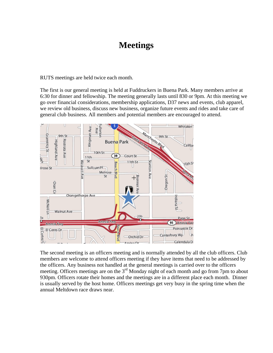#### **Meetings**

RUTS meetings are held twice each month.

The first is our general meeting is held at Fuddruckers in Buena Park. Many members arrive at 6:30 for dinner and fellowship. The meeting generally lasts until 830 or 9pm. At this meeting we go over financial considerations, membership applications, D37 news and events, club apparel, we review old business, discuss new business, organize future events and rides and take care of general club business. All members and potential members are encouraged to attend.



The second meeting is an officers meeting and is normally attended by all the club officers. Club members are welcome to attend officers meeting if they have items that need to be addressed by the officers. Any business not handled at the general meetings is carried over to the officers meeting. Officers meetings are on the 3<sup>rd</sup> Monday night of each month and go from 7pm to about 930pm. Officers rotate their homes and the meetings are in a different place each month. Dinner is usually served by the host home. Officers meetings get very busy in the spring time when the annual Meltdown race draws near.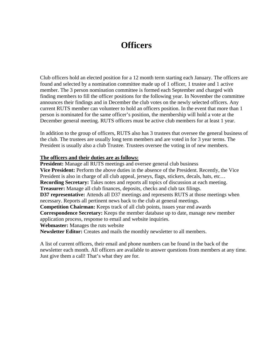#### **Officers**

Club officers hold an elected position for a 12 month term starting each January. The officers are found and selected by a nomination committee made up of 1 officer, 1 trustee and 1 active member. The 3 person nomination committee is formed each September and charged with finding members to fill the officer positions for the following year. In November the committee announces their findings and in December the club votes on the newly selected officers. Any current RUTS member can volunteer to hold an officers position. In the event that more than 1 person is nominated for the same officer's position, the membership will hold a vote at the December general meeting. RUTS officers must be active club members for at least 1 year.

In addition to the group of officers, RUTS also has 3 trustees that oversee the general business of the club. The trustees are usually long term members and are voted in for 3 year terms. The President is usually also a club Trustee. Trustees oversee the voting in of new members.

#### **The officers and their duties are as follows:**

**President:** Manage all RUTS meetings and oversee general club business **Vice President:** Perform the above duties in the absence of the President. Recently, the Vice President is also in charge of all club appeal, jerseys, flags, stickers, decals, hats, etc… **Recording Secretary:** Takes notes and reports all topics of discussion at each meeting. **Treasurer:** Manage all club finances, deposits, checks and club tax filings. **D37 representative:** Attends all D37 meetings and represents RUTS at those meetings when necessary. Reports all pertinent news back to the club at general meetings. **Competition Chairman:** Keeps track of all club points, issues year end awards **Correspondence Secretary:** Keeps the member database up to date, manage new member application process, response to email and website inquiries. **Webmaster:** Manages the ruts website **Newsletter Editor:** Creates and mails the monthly newsletter to all members.

A list of current officers, their email and phone numbers can be found in the back of the newsletter each month. All officers are available to answer questions from members at any time. Just give them a call! That's what they are for.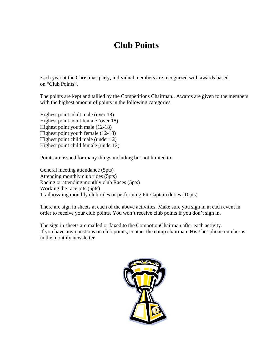# **Club Points**

Each year at the Christmas party, individual members are recognized with awards based on "Club Points".

The points are kept and tallied by the Competitions Chairman.. Awards are given to the members with the highest amount of points in the following categories.

Highest point adult male (over 18) Highest point adult female (over 18) Highest point youth male (12-18) Highest point youth female (12-18) Highest point child male (under 12) Highest point child female (under12)

Points are issued for many things including but not limited to:

General meeting attendance (5pts) Attending monthly club rides (5pts) Racing or attending monthly club Races (5pts) Working the race pits (5pts) Trailboss-ing monthly club rides or performing Pit-Captain duties (10pts)

There are sign in sheets at each of the above activities. Make sure you sign in at each event in order to receive your club points. You won't receive club points if you don't sign in.

The sign in sheets are mailed or faxed to the CompotionChairman after each activity. If you have any questions on club points, contact the comp chairman. His / her phone number is in the monthly newsletter

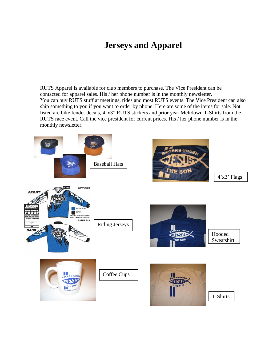### **Jerseys and Apparel**

RUTS Apparel is available for club members to purchase. The Vice President can be contacted for apparel sales. His / her phone number is in the monthly newsletter. You can buy RUTS stuff at meetings, rides and most RUTS events. The Vice President can also ship something to you if you want to order by phone. Here are some of the items for sale. Not listed are bike fender decals, 4"x3" RUTS stickers and prior year Meltdown T-Shirts from the RUTS race event. Call the vice president for current prices. His / her phone number is in the monthly newsletter.

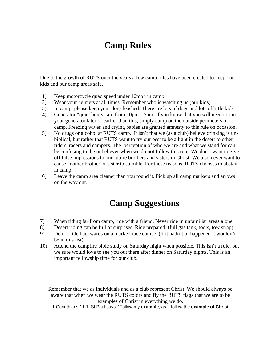## **Camp Rules**

Due to the growth of RUTS over the years a few camp rules have been created to keep our kids and our camp areas safe.

- 1) Keep motorcycle quad speed under 10mph in camp
- 2) Wear your helmets at all times. Remember who is watching us (our kids)
- 3) In camp, please keep your dogs leashed. There are lots of dogs and lots of little kids.
- 4) Generator "quiet hours" are from 10pm 7am. If you know that you will need to run your generator later or earlier than this, simply camp on the outside perimeters of camp. Freezing wives and crying babies are granted amnesty to this rule on occasion.
- 5) No drugs or alcohol at RUTS camp. It isn't that we (as a club) believe drinking is unbiblical, but rather that RUTS want to try our best to be a light in the desert to other riders, racers and campers. The perception of who we are and what we stand for can be confusing to the unbeliever when we do not follow this rule. We don't want to give off false impressions to our future brothers and sisters in Christ. We also never want to cause another brother or sister to stumble. For these reasons, RUTS chooses to abstain in camp.
- 6) Leave the camp area cleaner than you found it. Pick up all camp markers and arrows on the way out.

# **Camp Suggestions**

- 7) When riding far from camp, ride with a friend. Never ride in unfamiliar areas alone.
- 8) Desert riding can be full of surprises. Ride prepared. (full gas tank, tools, tow strap)
- 9) Do not ride backwards on a marked race course. (if it hadn't of happened it wouldn't be in this list)
- 10) Attend the campfire bible study on Saturday night when possible. This isn't a rule, but we sure would love to see you out there after dinner on Saturday nights. This is an important fellowship time for our club.

Remember that we as individuals and as a club represent Christ. We should always be aware that when we wear the RUTS colors and fly the RUTS flags that we are to be examples of Christ in everything we do.

1 Corinthians 11:1, St Paul says, "Follow my **example**, as I. follow the **example of Christ**